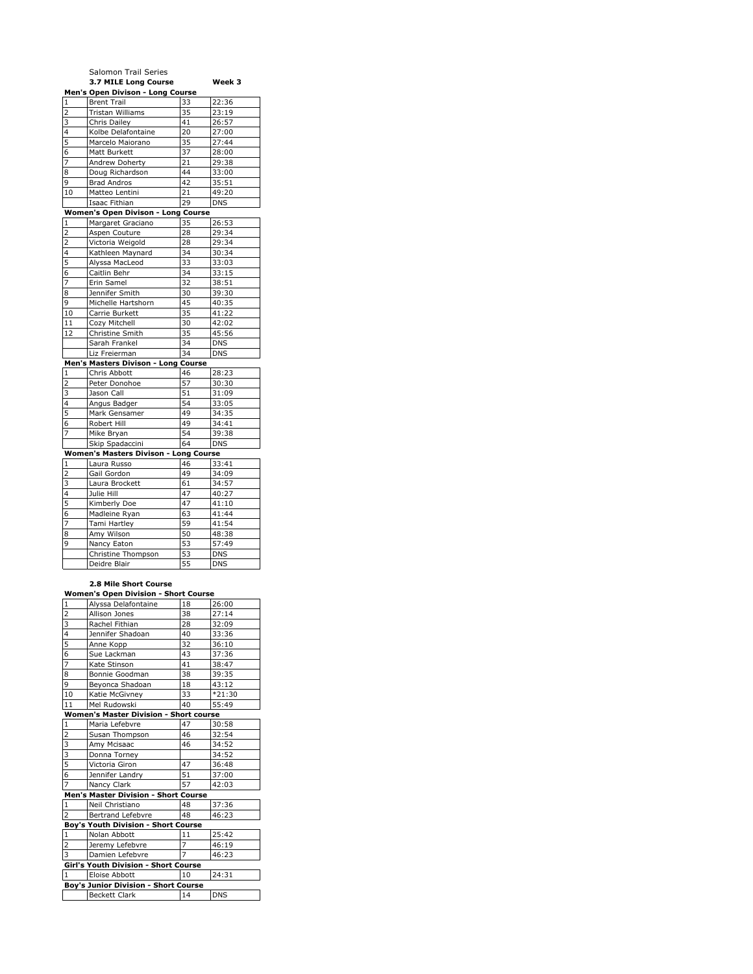|                | Salomon Trail Series                  |    |            |
|----------------|---------------------------------------|----|------------|
|                | 3.7 MILE Long Course                  |    | Week 3     |
|                | Men's Open Divison - Long Course      |    |            |
| $\mathbf{1}$   | <b>Brent Trail</b>                    | 33 | 22:36      |
| $\overline{2}$ | <b>Tristan Williams</b>               | 35 | 23:19      |
| 3              | Chris Dailey                          | 41 | 26:57      |
| 4              | Kolbe Delafontaine                    | 20 | 27:00      |
| 5              | Marcelo Maiorano                      | 35 | 27:44      |
| 6              | Matt Burkett                          | 37 | 28:00      |
| $\overline{7}$ | Andrew Doherty                        | 21 | 29:38      |
| 8              | Doug Richardson                       | 44 | 33:00      |
| 9              | <b>Brad Andros</b>                    | 42 | 35:51      |
| 10             | Matteo Lentini                        | 21 | 49:20      |
|                | Isaac Fithian                         | 29 | <b>DNS</b> |
|                | Women's Open Divison - Long Course    |    |            |
| 1              | Margaret Graciano                     | 35 | 26:53      |
| $\overline{2}$ | Aspen Couture                         | 28 | 29:34      |
| $\overline{2}$ | Victoria Weigold                      | 28 | 29:34      |
| 4              | Kathleen Maynard                      | 34 | 30:34      |
| 5              | Alyssa MacLeod                        | 33 | 33:03      |
| 6              | Caitlin Behr                          | 34 | 33:15      |
| 7              | Erin Samel                            | 32 | 38:51      |
| 8              | Jennifer Smith                        | 30 | 39:30      |
| 9              | Michelle Hartshorn                    | 45 | 40:35      |
| 10             | Carrie Burkett                        | 35 | 41:22      |
| 11             | Cozy Mitchell                         | 30 | 42:02      |
| 12             | Christine Smith                       | 35 | 45:56      |
|                | Sarah Frankel                         | 34 | <b>DNS</b> |
|                | Liz Freierman                         | 34 | <b>DNS</b> |
|                | Men's Masters Divison - Long Course   |    |            |
| $\mathbf{1}$   | Chris Abbott                          | 46 | 28:23      |
| $\overline{2}$ | Peter Donohoe                         | 57 | 30:30      |
| 3              | Jason Call                            | 51 | 31:09      |
| 4              | Angus Badger                          | 54 | 33:05      |
| 5              | Mark Gensamer                         | 49 | 34:35      |
| 6              | Robert Hill                           | 49 | 34:41      |
| $\overline{7}$ | Mike Bryan                            | 54 | 39:38      |
|                | Skip Spadaccini                       | 64 | <b>DNS</b> |
|                | Women's Masters Divison - Long Course |    |            |
| 1              | Laura Russo                           | 46 | 33:41      |
| $\overline{c}$ | Gail Gordon                           | 49 | 34:09      |
| 3              | Laura Brockett                        | 61 | 34:57      |
| 4              | Julie Hill                            | 47 | 40:27      |
| 5              | Kimberly Doe                          | 47 | 41:10      |
| 6              | Madleine Ryan                         | 63 | 41:44      |
| 7              | Tami Hartley                          | 59 | 41:54      |
| 8              | Amy Wilson                            | 50 | 48:38      |
| 9              | Nancy Eaton                           | 53 | 57:49      |
|                | Christine Thompson                    | 53 | <b>DNS</b> |
|                | Deidre Blair                          | 55 | <b>DNS</b> |
|                |                                       |    |            |
|                |                                       |    |            |

## **2.8 Mile Short Course Women's Open Division - Short Course**

| $\mathbf 1$                                 | Alyssa Delafontaine                           | 18             | 26:00      |  |  |
|---------------------------------------------|-----------------------------------------------|----------------|------------|--|--|
| $\overline{\mathbf{c}}$                     | Allison Jones                                 | 38             | 27:14      |  |  |
| 3                                           | Rachel Fithian                                | 28             | 32:09      |  |  |
| 4                                           | Jennifer Shadoan                              | 40             | 33:36      |  |  |
| 5                                           | Anne Kopp                                     | 32             | 36:10      |  |  |
| $\ddot{6}$                                  | Sue Lackman                                   | 43             | 37:36      |  |  |
| $\overline{7}$                              | Kate Stinson                                  | 41             | 38:47      |  |  |
| 8                                           | Bonnie Goodman                                | 38             | 39:35      |  |  |
| 9                                           | Beyonca Shadoan                               | 18             | 43:12      |  |  |
| 10                                          | Katie McGivney                                | 33             | $*21:30$   |  |  |
| 11                                          | Mel Rudowski                                  | 40             | 55:49      |  |  |
|                                             | <b>Women's Master Division - Short course</b> |                |            |  |  |
| $\mathbf 1$                                 | Maria Lefebvre                                | 47             | 30:58      |  |  |
| $\frac{2}{3}$                               | Susan Thompson                                | 46             | 32:54      |  |  |
|                                             | Amy Mcisaac                                   | 46             | 34:52      |  |  |
| $\frac{3}{5}$                               | Donna Torney                                  |                | 34:52      |  |  |
|                                             | Victoria Giron                                | 47             | 36:48      |  |  |
| $\overline{6}$                              | Jennifer Landry                               | 51             | 37:00      |  |  |
| $\overline{7}$                              | Nancy Clark                                   | 57             | 42:03      |  |  |
|                                             | Men's Master Division - Short Course          |                |            |  |  |
| $\mathbf 1$                                 | Neil Christiano                               | 48             | 37:36      |  |  |
| $\overline{2}$                              | <b>Bertrand Lefebvre</b>                      | 48             | 46:23      |  |  |
|                                             | Boy's Youth Division - Short Course           |                |            |  |  |
| $\mathbf{1}$                                | Nolan Abbott                                  | 11             | 25:42      |  |  |
| $\overline{2}$                              | Jeremy Lefebvre                               | 7              | 46:19      |  |  |
| $\overline{\mathbf{3}}$                     | Damien Lefebvre                               | $\overline{7}$ | 46:23      |  |  |
| Girl's Youth Division - Short Course        |                                               |                |            |  |  |
| $\mathbf{1}$                                | Eloise Abbott                                 | 10             | 24:31      |  |  |
| <b>Boy's Junior Division - Short Course</b> |                                               |                |            |  |  |
|                                             | <b>Beckett Clark</b>                          | 14             | <b>DNS</b> |  |  |